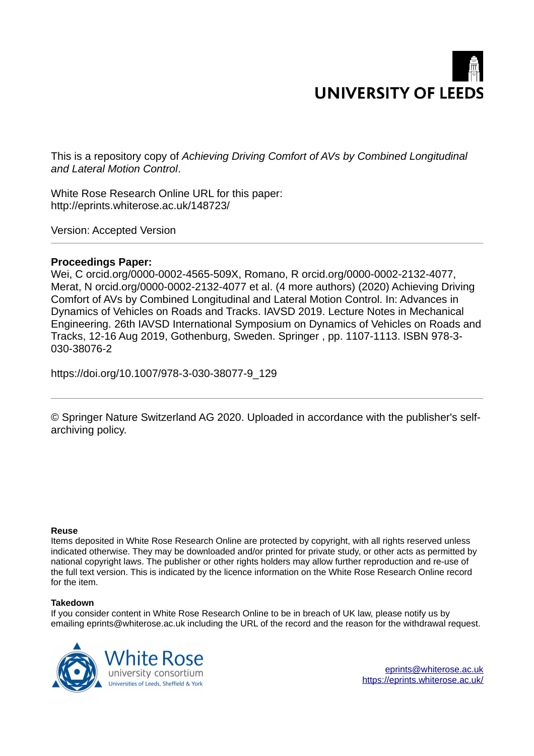

This is a repository copy of *Achieving Driving Comfort of AVs by Combined Longitudinal and Lateral Motion Control*.

White Rose Research Online URL for this paper: http://eprints.whiterose.ac.uk/148723/

Version: Accepted Version

# **Proceedings Paper:**

Wei, C orcid.org/0000-0002-4565-509X, Romano, R orcid.org/0000-0002-2132-4077, Merat, N orcid.org/0000-0002-2132-4077 et al. (4 more authors) (2020) Achieving Driving Comfort of AVs by Combined Longitudinal and Lateral Motion Control. In: Advances in Dynamics of Vehicles on Roads and Tracks. IAVSD 2019. Lecture Notes in Mechanical Engineering. 26th IAVSD International Symposium on Dynamics of Vehicles on Roads and Tracks, 12-16 Aug 2019, Gothenburg, Sweden. Springer , pp. 1107-1113. ISBN 978-3- 030-38076-2

https://doi.org/10.1007/978-3-030-38077-9\_129

© Springer Nature Switzerland AG 2020. Uploaded in accordance with the publisher's selfarchiving policy.

## **Reuse**

Items deposited in White Rose Research Online are protected by copyright, with all rights reserved unless indicated otherwise. They may be downloaded and/or printed for private study, or other acts as permitted by national copyright laws. The publisher or other rights holders may allow further reproduction and re-use of the full text version. This is indicated by the licence information on the White Rose Research Online record for the item.

## **Takedown**

If you consider content in White Rose Research Online to be in breach of UK law, please notify us by emailing eprints@whiterose.ac.uk including the URL of the record and the reason for the withdrawal request.

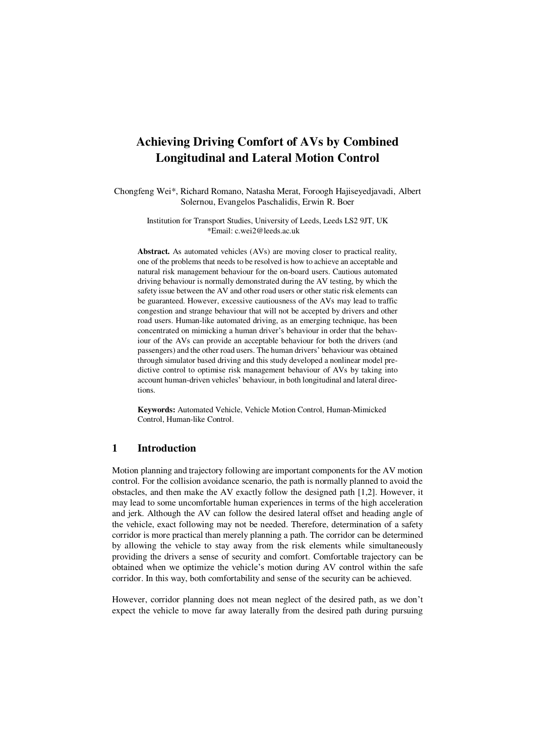# **Achieving Driving Comfort of AVs by Combined Longitudinal and Lateral Motion Control**

Chongfeng Wei\*, Richard Romano, Natasha Merat, Foroogh Hajiseyedjavadi, Albert Solernou, Evangelos Paschalidis, Erwin R. Boer

> Institution for Transport Studies, University of Leeds, Leeds LS2 9JT, UK \*Email: c.wei2@leeds.ac.uk

**Abstract.** As automated vehicles (AVs) are moving closer to practical reality, one of the problems that needs to be resolved is how to achieve an acceptable and natural risk management behaviour for the on-board users. Cautious automated driving behaviour is normally demonstrated during the AV testing, by which the safety issue between the AV and other road users or other static risk elements can be guaranteed. However, excessive cautiousness of the AVs may lead to traffic congestion and strange behaviour that will not be accepted by drivers and other road users. Human-like automated driving, as an emerging technique, has been concentrated on mimicking a human driver's behaviour in order that the behaviour of the AVs can provide an acceptable behaviour for both the drivers (and passengers) and the other road users. The human drivers' behaviour was obtained through simulator based driving and this study developed a nonlinear model predictive control to optimise risk management behaviour of AVs by taking into account human-driven vehicles' behaviour, in both longitudinal and lateral directions.

**Keywords:** Automated Vehicle, Vehicle Motion Control, Human-Mimicked Control, Human-like Control.

# **1 Introduction**

Motion planning and trajectory following are important components for the AV motion control. For the collision avoidance scenario, the path is normally planned to avoid the obstacles, and then make the AV exactly follow the designed path [1,2]. However, it may lead to some uncomfortable human experiences in terms of the high acceleration and jerk. Although the AV can follow the desired lateral offset and heading angle of the vehicle, exact following may not be needed. Therefore, determination of a safety corridor is more practical than merely planning a path. The corridor can be determined by allowing the vehicle to stay away from the risk elements while simultaneously providing the drivers a sense of security and comfort. Comfortable trajectory can be obtained when we optimize the vehicle's motion during AV control within the safe corridor. In this way, both comfortability and sense of the security can be achieved.

However, corridor planning does not mean neglect of the desired path, as we don't expect the vehicle to move far away laterally from the desired path during pursuing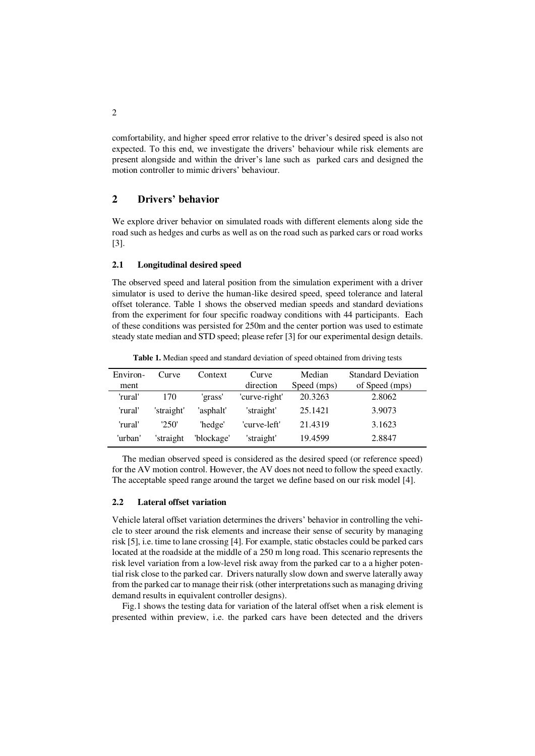comfortability, and higher speed error relative to the driver's desired speed is also not expected. To this end, we investigate the drivers' behaviour while risk elements are present alongside and within the driver's lane such as parked cars and designed the motion controller to mimic drivers' behaviour.

# **2 Drivers' behavior**

We explore driver behavior on simulated roads with different elements along side the road such as hedges and curbs as well as on the road such as parked cars or road works [3].

### **2.1 Longitudinal desired speed**

The observed speed and lateral position from the simulation experiment with a driver simulator is used to derive the human-like desired speed, speed tolerance and lateral offset tolerance. Table 1 shows the observed median speeds and standard deviations from the experiment for four specific roadway conditions with 44 participants. Each of these conditions was persisted for 250m and the center portion was used to estimate steady state median and STD speed; please refer [3] for our experimental design details.

| Environ- | Curve      | Context    | Curve         | Median      | <b>Standard Deviation</b> |
|----------|------------|------------|---------------|-------------|---------------------------|
| ment     |            |            | direction     | Speed (mps) | of Speed (mps)            |
| 'rural'  | 170        | 'grass'    | 'curve-right' | 20.3263     | 2.8062                    |
| 'rural'  | 'straight' | 'asphalt'  | 'straight'    | 25.1421     | 3.9073                    |
| 'rural'  | 250'       | 'hedge'    | 'curve-left'  | 21.4319     | 3.1623                    |
| 'urban'  | 'straight  | 'blockage' | 'straight'    | 19.4599     | 2.8847                    |

**Table 1.** Median speed and standard deviation of speed obtained from driving tests

The median observed speed is considered as the desired speed (or reference speed) for the AV motion control. However, the AV does not need to follow the speed exactly. The acceptable speed range around the target we define based on our risk model [4].

#### **2.2 Lateral offset variation**

Vehicle lateral offset variation determines the drivers' behavior in controlling the vehicle to steer around the risk elements and increase their sense of security by managing risk [5], i.e. time to lane crossing [4]. For example, static obstacles could be parked cars located at the roadside at the middle of a 250 m long road. This scenario represents the risk level variation from a low-level risk away from the parked car to a a higher potential risk close to the parked car. Drivers naturally slow down and swerve laterally away from the parked car to manage their risk (other interpretations such as managing driving demand results in equivalent controller designs).

Fig.1 shows the testing data for variation of the lateral offset when a risk element is presented within preview, i.e. the parked cars have been detected and the drivers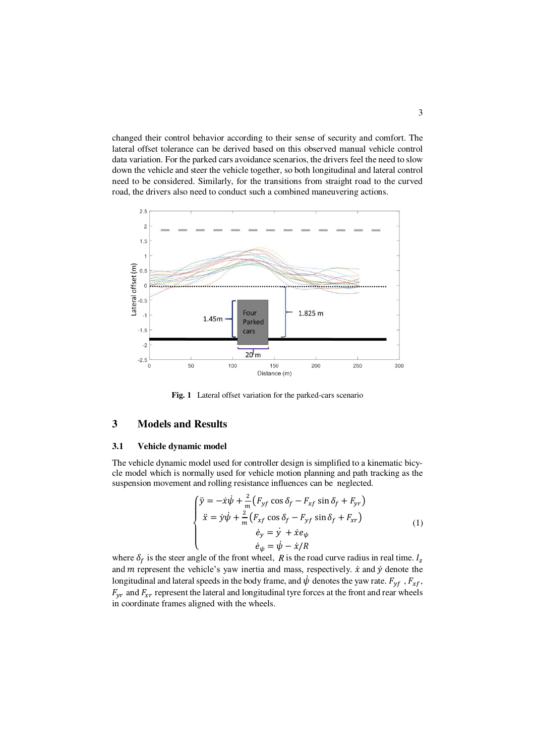changed their control behavior according to their sense of security and comfort. The lateral offset tolerance can be derived based on this observed manual vehicle control data variation. For the parked cars avoidance scenarios, the drivers feel the need to slow down the vehicle and steer the vehicle together, so both longitudinal and lateral control need to be considered. Similarly, for the transitions from straight road to the curved road, the drivers also need to conduct such a combined maneuvering actions.



**Fig. 1** Lateral offset variation for the parked-cars scenario

### **3 Models and Results**

#### **3.1 Vehicle dynamic model**

The vehicle dynamic model used for controller design is simplified to a kinematic bicycle model which is normally used for vehicle motion planning and path tracking as the suspension movement and rolling resistance influences can be neglected.

$$
\begin{cases}\n\ddot{y} = -\dot{x}\dot{\psi} + \frac{2}{m}\left(F_{yf}\cos\delta_f - F_{xf}\sin\delta_f + F_{yr}\right) \\
\ddot{x} = \dot{y}\dot{\psi} + \frac{2}{m}\left(F_{xf}\cos\delta_f - F_{yf}\sin\delta_f + F_{xr}\right) \\
\dot{e}_y = \dot{y} + \dot{x}e_\psi \\
\dot{e}_\psi = \dot{\psi} - \dot{x}/R\n\end{cases} \tag{1}
$$

where  $\delta_f$  is the steer angle of the front wheel, *R* is the road curve radius in real time.  $I_z$ and  $m$  represent the vehicle's yaw inertia and mass, respectively.  $\dot{x}$  and  $\dot{y}$  denote the longitudinal and lateral speeds in the body frame, and  $\psi$  denotes the yaw rate.  $F_{yf}$ ,  $F_{xf}$ ,  $F_{vr}$  and  $F_{xr}$  represent the lateral and longitudinal tyre forces at the front and rear wheels in coordinate frames aligned with the wheels.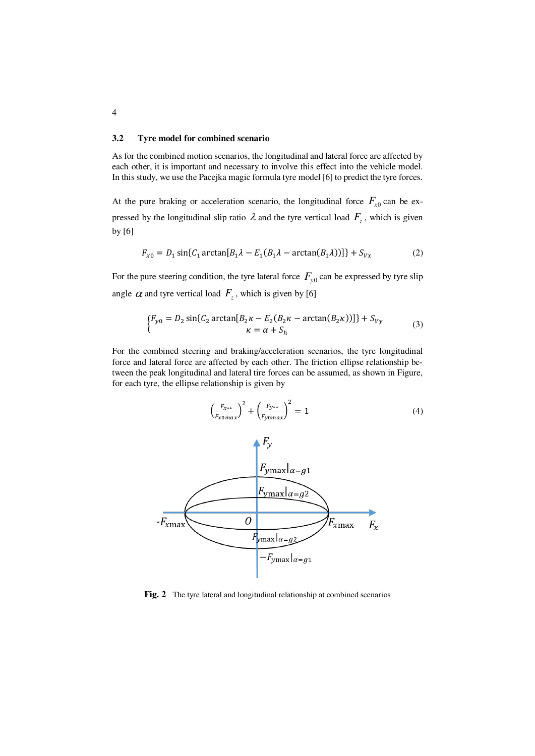#### **3.2 Tyre model for combined scenario**

As for the combined motion scenarios, the longitudinal and lateral force are affected by each other, it is important and necessary to involve this effect into the vehicle model. In this study, we use the Pacejka magic formula tyre model [6] to predict the tyre forces.

At the pure braking or acceleration scenario, the longitudinal force  $F_{x0}$  can be expressed by the longitudinal slip ratio  $\lambda$  and the tyre vertical load  $F_z$ , which is given by [6]

$$
F_{x0} = D_1 \sin\{C_1 \arctan[B_1 \lambda - E_1(B_1 \lambda - \arctan(B_1 \lambda))]\} + S_{Vx}
$$
 (2)

For the pure steering condition, the tyre lateral force  $F_{y0}$  can be expressed by tyre slip angle  $\alpha$  and tyre vertical load  $F_z$ , which is given by [6]

$$
\begin{cases}\nF_{y0} = D_2 \sin\{C_2 \arctan[B_2 \kappa - E_2(B_2 \kappa - \arctan(B_2 \kappa))]\} + S_{Vy} \\
\kappa = \alpha + S_h\n\end{cases}
$$
\n(3)

For the combined steering and braking/acceleration scenarios, the tyre longitudinal force and lateral force are affected by each other. The friction ellipse relationship between the peak longitudinal and lateral tire forces can be assumed, as shown in Figure, for each tyre, the ellipse relationship is given by



**Fig. 2** The tyre lateral and longitudinal relationship at combined scenarios

4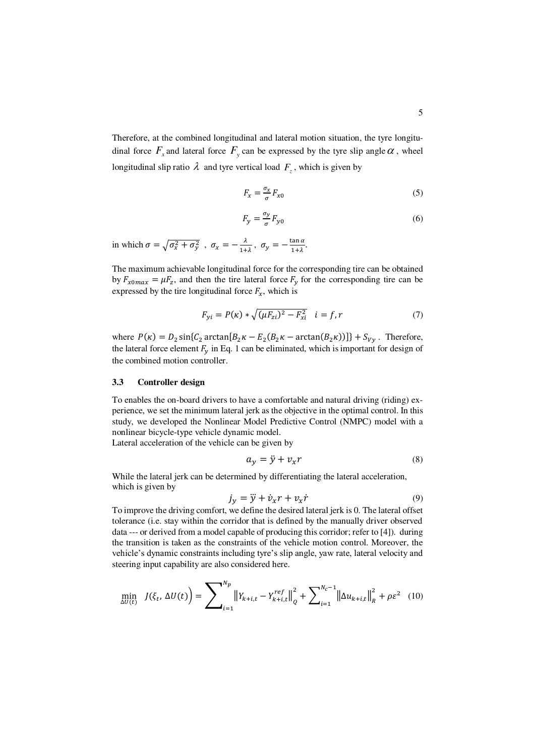Therefore, at the combined longitudinal and lateral motion situation, the tyre longitudinal force  $F_x$  and lateral force  $F_y$  can be expressed by the tyre slip angle  $\alpha$ , wheel longitudinal slip ratio  $\lambda$  and tyre vertical load  $F_z$ , which is given by

$$
F_x = \frac{\sigma_x}{\sigma} F_{x0} \tag{5}
$$

$$
F_y = \frac{\sigma_y}{\sigma} F_{y0} \tag{6}
$$

in which  $\sigma = \sqrt{\sigma_x^2 + \sigma_y^2}$ ,  $\sigma_x = -\frac{\lambda}{1+\lambda}$ ,  $\sigma_y = -\frac{\tan \alpha}{1+\lambda}$ .

The maximum achievable longitudinal force for the corresponding tire can be obtained by  $F_{x0max} = \mu F_z$ , and then the tire lateral force  $F_y$  for the corresponding tire can be expressed by the tire longitudinal force  $F_x$ , which is

$$
F_{yi} = P(\kappa) * \sqrt{(\mu F_{zi})^2 - F_{xi}^2} \quad i = f, r \tag{7}
$$

where  $P(\kappa) = D_2 \sin\{C_2 \arctan[B_2 \kappa - E_2(B_2 \kappa - \arctan(B_2 \kappa))]\} + S_{Vy}$ . Therefore, the lateral force element  $F_v$  in Eq. 1 can be eliminated, which is important for design of the combined motion controller.

#### **3.3 Controller design**

To enables the on-board drivers to have a comfortable and natural driving (riding) experience, we set the minimum lateral jerk as the objective in the optimal control. In this study, we developed the Nonlinear Model Predictive Control (NMPC) model with a nonlinear bicycle-type vehicle dynamic model.

Lateral acceleration of the vehicle can be given by

$$
a_y = \ddot{y} + v_x r \tag{8}
$$

While the lateral jerk can be determined by differentiating the lateral acceleration, which is given by

$$
j_y = \ddot{y} + \dot{v}_x r + v_x \dot{r}
$$
\n(9)

To improve the driving comfort, we define the desired lateral jerk is 0. The lateral offset tolerance (i.e. stay within the corridor that is defined by the manually driver observed data --- or derived from a model capable of producing this corridor; refer to [4]). during the transition is taken as the constraints of the vehicle motion control. Moreover, the vehicle's dynamic constraints including tyre's slip angle, yaw rate, lateral velocity and steering input capability are also considered here.

$$
\min_{\Delta U(t)} J(\xi_t, \Delta U(t)) = \sum_{i=1}^{N_p} ||Y_{k+i,t} - Y_{k+i,t}^{ref}||_Q^2 + \sum_{i=1}^{N_c-1} ||\Delta u_{k+i,t}||_R^2 + \rho \varepsilon^2 \quad (10)
$$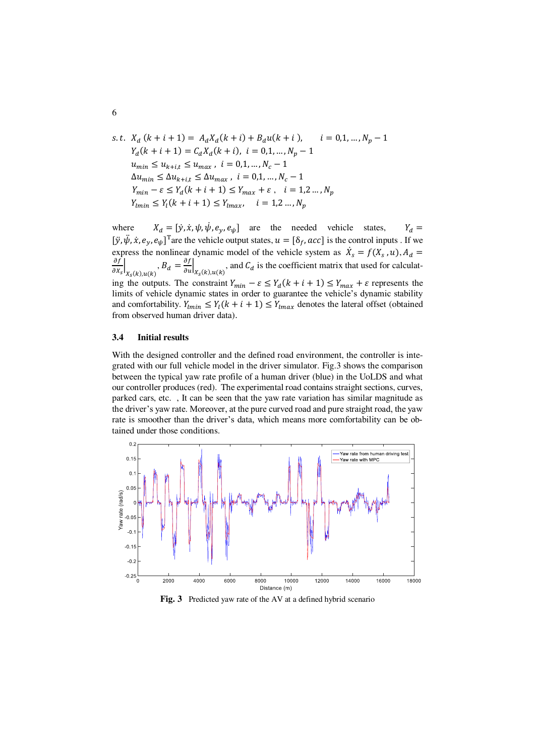s.t. 
$$
X_d (k + i + 1) = A_d X_d (k + i) + B_d u(k + i), \qquad i = 0, 1, ..., N_p - 1
$$
  
\n $Y_d (k + i + 1) = C_d X_d (k + i), \qquad i = 0, 1, ..., N_p - 1$   
\n $u_{min} \le u_{k+i,t} \le u_{max}, \qquad i = 0, 1, ..., N_c - 1$   
\n $\Delta u_{min} \le \Delta u_{k+i,t} \le \Delta u_{max}, \qquad i = 0, 1, ..., N_c - 1$   
\n $Y_{min} - \varepsilon \le Y_d (k + i + 1) \le Y_{max} + \varepsilon, \qquad i = 1, 2, ..., N_p$   
\n $Y_{lmin} \le Y_l (k + i + 1) \le Y_{lmax}, \qquad i = 1, 2, ..., N_p$ 

where  $X_d = [\dot{y}, \dot{x}, \psi, \dot{\psi}, e_y, e_y]$  are the needed vehicle states,  $Y_d =$  $[\ddot{y}, \dot{\psi}, \dot{x}, e_y, e_{\psi}]^{\text{T}}$  are the vehicle output states,  $u = [\delta_f, acc]$  is the control inputs. If we express the nonlinear dynamic model of the vehicle system as  $\dot{X}_s = f(X_s, u)$ ,  $A_d =$ <u>of</u>  $\frac{1}{\partial x_s}$  $\left(B_d = \frac{\partial f}{\partial u}\right]_{X_s(k), u(k)}$ , and  $C_d$  is the coefficient matrix that used for calculating the outputs. The constraint  $Y_{min} - \varepsilon \le Y_d(k + i + 1) \le Y_{max} + \varepsilon$  represents the limits of vehicle dynamic states in order to guarantee the vehicle's dynamic stability and comfortability.  $Y_{lmin} \leq Y_l(k+i+1) \leq Y_{lmax}$  denotes the lateral offset (obtained from observed human driver data).

#### **3.4 Initial results**

With the designed controller and the defined road environment, the controller is integrated with our full vehicle model in the driver simulator. Fig.3 shows the comparison between the typical yaw rate profile of a human driver (blue) in the UoLDS and what our controller produces (red). The experimental road contains straight sections, curves, parked cars, etc. , It can be seen that the yaw rate variation has similar magnitude as the driver's yaw rate. Moreover, at the pure curved road and pure straight road, the yaw rate is smoother than the driver's data, which means more comfortability can be obtained under those conditions.



**Fig. 3** Predicted yaw rate of the AV at a defined hybrid scenario

6